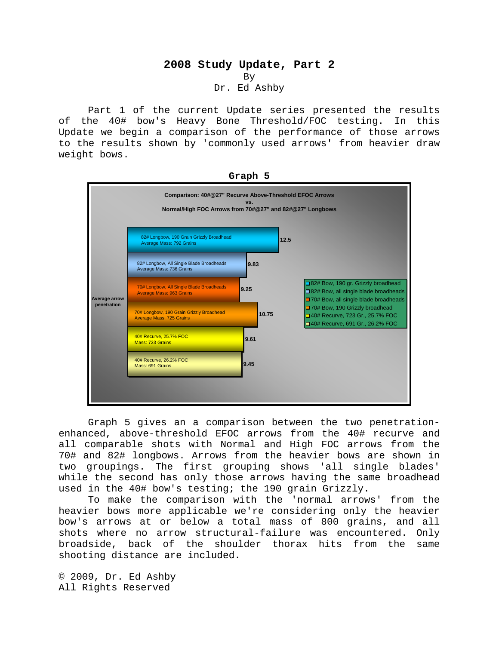## **2008 Study Update, Part 2**  By Dr. Ed Ashby

 Part 1 of the current Update series presented the results of the 40# bow's Heavy Bone Threshold/FOC testing. In this Update we begin a comparison of the performance of those arrows to the results shown by 'commonly used arrows' from heavier draw weight bows.



**Graph 5** 

Graph 5 gives an a comparison between the two penetrationenhanced, above-threshold EFOC arrows from the 40# recurve and all comparable shots with Normal and High FOC arrows from the 70# and 82# longbows. Arrows from the heavier bows are shown in two groupings. The first grouping shows 'all single blades' while the second has only those arrows having the same broadhead used in the 40# bow's testing; the 190 grain Grizzly.

To make the comparison with the 'normal arrows' from the heavier bows more applicable we're considering only the heavier bow's arrows at or below a total mass of 800 grains, and all shots where no arrow structural-failure was encountered. Only broadside, back of the shoulder thorax hits from the same shooting distance are included.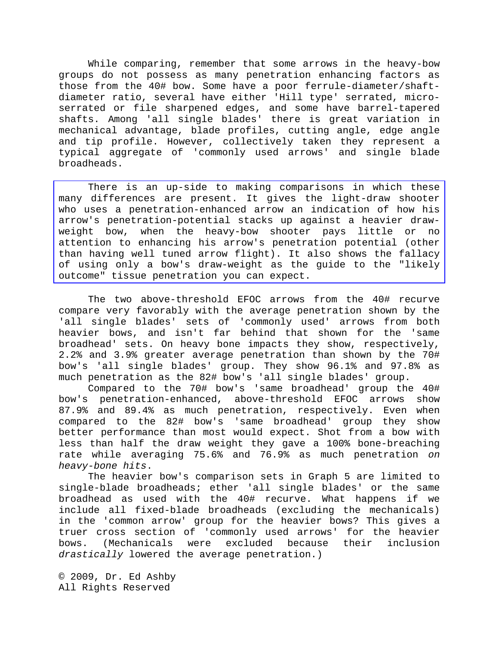While comparing, remember that some arrows in the heavy-bow groups do not possess as many penetration enhancing factors as those from the 40# bow. Some have a poor ferrule-diameter/shaftdiameter ratio, several have either 'Hill type' serrated, microserrated or file sharpened edges, and some have barrel-tapered shafts. Among 'all single blades' there is great variation in mechanical advantage, blade profiles, cutting angle, edge angle and tip profile. However, collectively taken they represent a typical aggregate of 'commonly used arrows' and single blade broadheads.

 There is an up-side to making comparisons in which these many differences are present. It gives the light-draw shooter who uses a penetration-enhanced arrow an indication of how his arrow's penetration-potential stacks up against a heavier drawweight bow, when the heavy-bow shooter pays little or no attention to enhancing his arrow's penetration potential (other than having well tuned arrow flight). It also shows the fallacy of using only a bow's draw-weight as the guide to the "likely outcome" tissue penetration you can expect.

 The two above-threshold EFOC arrows from the 40# recurve compare very favorably with the average penetration shown by the 'all single blades' sets of 'commonly used' arrows from both heavier bows, and isn't far behind that shown for the 'same broadhead' sets. On heavy bone impacts they show, respectively, 2.2% and 3.9% greater average penetration than shown by the 70# bow's 'all single blades' group. They show 96.1% and 97.8% as much penetration as the 82# bow's 'all single blades' group.

Compared to the 70# bow's 'same broadhead' group the 40# bow's penetration-enhanced, above-threshold EFOC arrows show 87.9% and 89.4% as much penetration, respectively. Even when compared to the 82# bow's 'same broadhead' group they show better performance than most would expect. Shot from a bow with less than half the draw weight they gave a 100% bone-breaching rate while averaging 75.6% and 76.9% as much penetration *on heavy-bone hits*.

The heavier bow's comparison sets in Graph 5 are limited to single-blade broadheads; ether 'all single blades' or the same broadhead as used with the 40# recurve. What happens if we include all fixed-blade broadheads (excluding the mechanicals) in the 'common arrow' group for the heavier bows? This gives a truer cross section of 'commonly used arrows' for the heavier bows. (Mechanicals were excluded because their inclusion *drastically* lowered the average penetration.)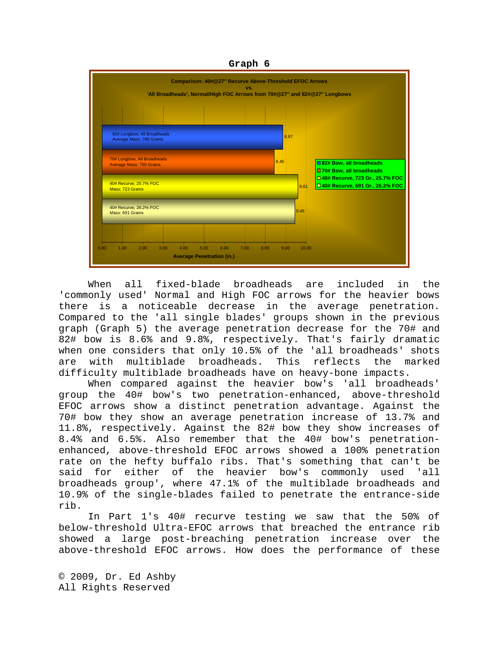**Graph 6** 



 When all fixed-blade broadheads are included in the 'commonly used' Normal and High FOC arrows for the heavier bows there is a noticeable decrease in the average penetration. Compared to the 'all single blades' groups shown in the previous graph (Graph 5) the average penetration decrease for the 70# and 82# bow is 8.6% and 9.8%, respectively. That's fairly dramatic when one considers that only 10.5% of the 'all broadheads' shots are with multiblade broadheads. This reflects the marked difficulty multiblade broadheads have on heavy-bone impacts.

When compared against the heavier bow's 'all broadheads' group the 40# bow's two penetration-enhanced, above-threshold EFOC arrows show a distinct penetration advantage. Against the 70# bow they show an average penetration increase of 13.7% and 11.8%, respectively. Against the 82# bow they show increases of 8.4% and 6.5%. Also remember that the 40# bow's penetrationenhanced, above-threshold EFOC arrows showed a 100% penetration rate on the hefty buffalo ribs. That's something that can't be said for either of the heavier bow's commonly used 'all broadheads group', where 47.1% of the multiblade broadheads and 10.9% of the single-blades failed to penetrate the entrance-side rib.

In Part 1's 40# recurve testing we saw that the 50% of below-threshold Ultra-EFOC arrows that breached the entrance rib showed a large post-breaching penetration increase over the above-threshold EFOC arrows. How does the performance of these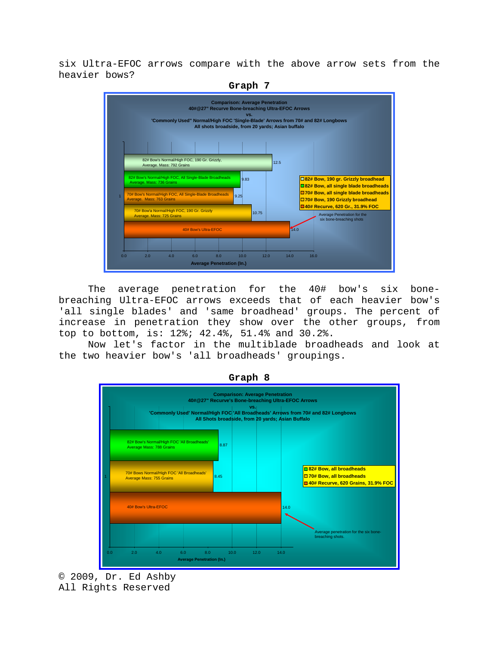six Ultra-EFOC arrows compare with the above arrow sets from the heavier bows?



 The average penetration for the 40# bow's six bonebreaching Ultra-EFOC arrows exceeds that of each heavier bow's 'all single blades' and 'same broadhead' groups. The percent of increase in penetration they show over the other groups, from top to bottom, is: 12%; 42.4%, 51.4% and 30.2%.

Now let's factor in the multiblade broadheads and look at the two heavier bow's 'all broadheads' groupings.



**Graph 8** 

© 2009, Dr. Ed Ashby All Rights Reserved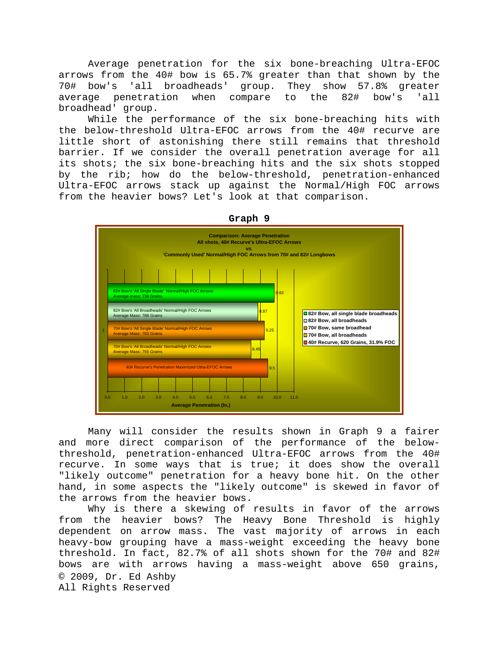Average penetration for the six bone-breaching Ultra-EFOC arrows from the 40# bow is 65.7% greater than that shown by the 70# bow's 'all broadheads' group. They show 57.8% greater average penetration when compare to the 82# bow's 'all broadhead' group.

While the performance of the six bone-breaching hits with the below-threshold Ultra-EFOC arrows from the 40# recurve are little short of astonishing there still remains that threshold barrier. If we consider the overall penetration average for all its shots; the six bone-breaching hits and the six shots stopped by the rib; how do the below-threshold, penetration-enhanced Ultra-EFOC arrows stack up against the Normal/High FOC arrows from the heavier bows? Let's look at that comparison.



 Many will consider the results shown in Graph 9 a fairer and more direct comparison of the performance of the belowthreshold, penetration-enhanced Ultra-EFOC arrows from the 40# recurve. In some ways that is true; it does show the overall "likely outcome" penetration for a heavy bone hit. On the other hand, in some aspects the "likely outcome" is skewed in favor of the arrows from the heavier bows.

© 2009, Dr. Ed Ashby All Rights Reserved Why is there a skewing of results in favor of the arrows from the heavier bows? The Heavy Bone Threshold is highly dependent on arrow mass. The vast majority of arrows in each heavy-bow grouping have a mass-weight exceeding the heavy bone threshold. In fact, 82.7% of all shots shown for the 70# and 82# bows are with arrows having a mass-weight above 650 grains,

**Graph 9**